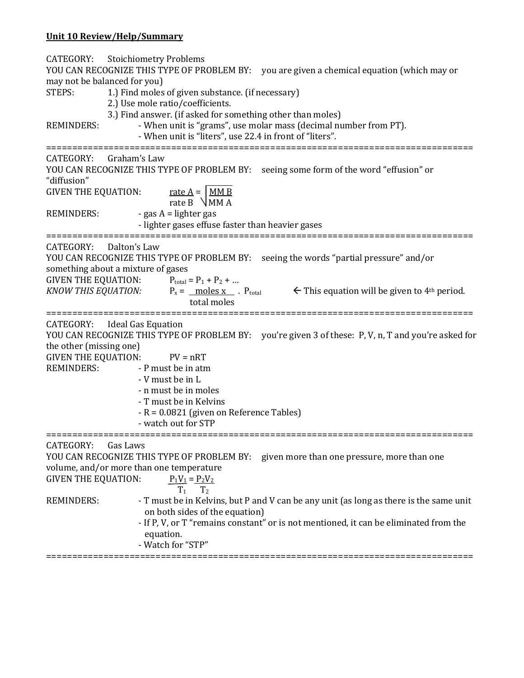## **Unit 10 Review/Help/Summary**